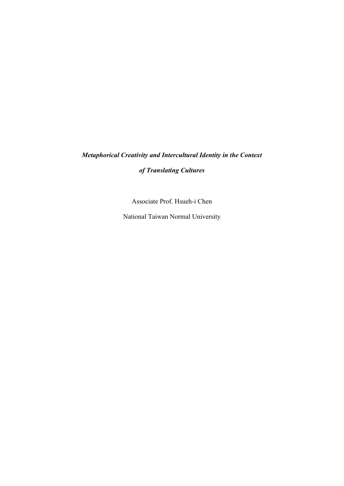## *Metaphorical Creativity and Intercultural Identity in the Context*

## *of Translating Cultures*

Associate Prof. Hsueh-i Chen

National Taiwan Normal University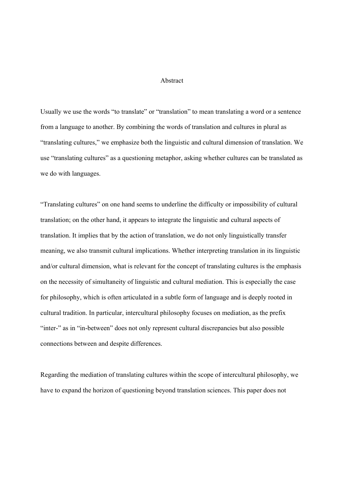## Abstract

Usually we use the words "to translate" or "translation" to mean translating a word or a sentence from a language to another. By combining the words of translation and cultures in plural as "translating cultures," we emphasize both the linguistic and cultural dimension of translation. We use "translating cultures" as a questioning metaphor, asking whether cultures can be translated as we do with languages.

"Translating cultures" on one hand seems to underline the difficulty or impossibility of cultural translation; on the other hand, it appears to integrate the linguistic and cultural aspects of translation. It implies that by the action of translation, we do not only linguistically transfer meaning, we also transmit cultural implications. Whether interpreting translation in its linguistic and/or cultural dimension, what is relevant for the concept of translating cultures is the emphasis on the necessity of simultaneity of linguistic and cultural mediation. This is especially the case for philosophy, which is often articulated in a subtle form of language and is deeply rooted in cultural tradition. In particular, intercultural philosophy focuses on mediation, as the prefix "inter-" as in "in-between" does not only represent cultural discrepancies but also possible connections between and despite differences.

Regarding the mediation of translating cultures within the scope of intercultural philosophy, we have to expand the horizon of questioning beyond translation sciences. This paper does not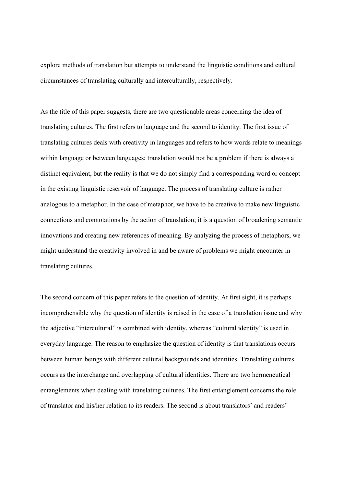explore methods of translation but attempts to understand the linguistic conditions and cultural circumstances of translating culturally and interculturally, respectively.

As the title of this paper suggests, there are two questionable areas concerning the idea of translating cultures. The first refers to language and the second to identity. The first issue of translating cultures deals with creativity in languages and refers to how words relate to meanings within language or between languages; translation would not be a problem if there is always a distinct equivalent, but the reality is that we do not simply find a corresponding word or concept in the existing linguistic reservoir of language. The process of translating culture is rather analogous to a metaphor. In the case of metaphor, we have to be creative to make new linguistic connections and connotations by the action of translation; it is a question of broadening semantic innovations and creating new references of meaning. By analyzing the process of metaphors, we might understand the creativity involved in and be aware of problems we might encounter in translating cultures.

The second concern of this paper refers to the question of identity. At first sight, it is perhaps incomprehensible why the question of identity is raised in the case of a translation issue and why the adjective "intercultural" is combined with identity, whereas "cultural identity" is used in everyday language. The reason to emphasize the question of identity is that translations occurs between human beings with different cultural backgrounds and identities. Translating cultures occurs as the interchange and overlapping of cultural identities. There are two hermeneutical entanglements when dealing with translating cultures. The first entanglement concerns the role of translator and his/her relation to its readers. The second is about translators' and readers'